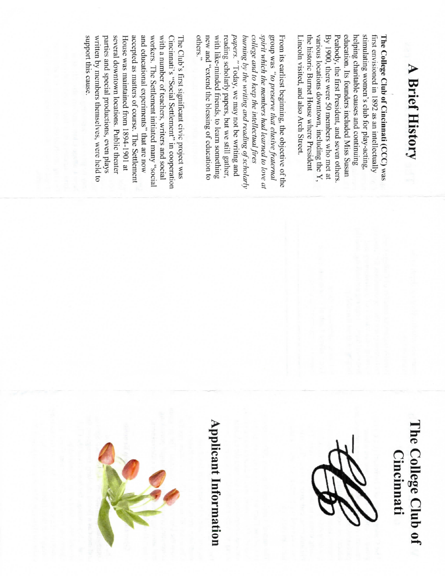## **A Brief History**

By 1900, there were 50 members who met at education. Its founders included Miss Susan helping charitable causes and continuing stimulating women's club for play-acting, Lincoln visited, and also Arch Street. the historic Burnet House where President various locations downtown, including the  $Y$ Peabody, the first President, and seven others. first envisioned in 1892 as an intellectually The College Club of Cincinnati (CCC) was

others." spirit which the members had learned to love at group was "to preserve that elusive fraternal new and "extend the blessing of education to with like-minded friends, to learn something reading scholarly papers, but we still gather, papers." Today, we may not be writing and burning by the writing and reading of scholarly college and to keep the intellectual fires From its earliest beginning, the objective of the

support this cause. written by members themselves, were held to parties and special productions, even plays several downtown locations. Public theater accepted as matters of course. The Settlement and educational experiments" that are now workers. The Settlement initiated many "social with a number of teachers, writers and social Cincinnati's "Social Settlement" in cooperation House was maintained from 1894-1901 at The Club's first significant civic project was

### The College Club of **Cincinnati**



# **Applicant Information**